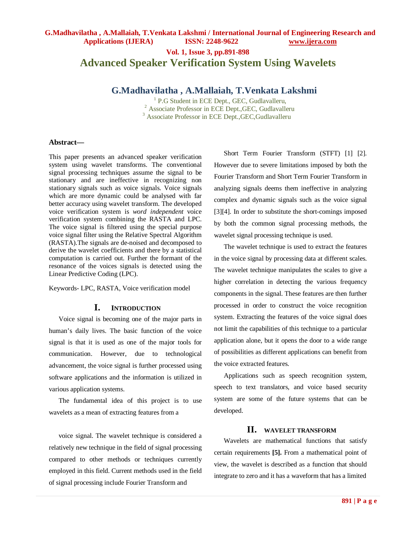# **Vol. 1, Issue 3, pp.891-898 Advanced Speaker Verification System Using Wavelets**

## **G.Madhavilatha , A.Mallaiah, T.Venkata Lakshmi**

<sup>1</sup> P.G Student in ECE Dept., GEC, Gudlavalleru, <sup>2</sup> Associate Professor in ECE Dept.,GEC, Gudlavalleru <sup>3</sup> Associate Professor in ECE Dept.,GEC,Gudlavalleru

#### **Abstract—**

This paper presents an advanced speaker verification system using wavelet transforms. The conventional signal processing techniques assume the signal to be stationary and are ineffective in recognizing non stationary signals such as voice signals. Voice signals which are more dynamic could be analysed with far better accuracy using wavelet transform. The developed voice verification system is *word independent* voice verification system combining the RASTA and LPC. The voice signal is filtered using the special purpose voice signal filter using the Relative Spectral Algorithm (RASTA).The signals are de-noised and decomposed to derive the wavelet coefficients and there by a statistical computation is carried out. Further the formant of the resonance of the voices signals is detected using the Linear Predictive Coding (LPC).

Keywords- LPC, RASTA, Voice verification model

## **I. INTRODUCTION**

Voice signal is becoming one of the major parts in human's daily lives. The basic function of the voice signal is that it is used as one of the major tools for communication. However, due to technological advancement, the voice signal is further processed using software applications and the information is utilized in various application systems.

The fundamental idea of this project is to use wavelets as a mean of extracting features from a

voice signal. The wavelet technique is considered a relatively new technique in the field of signal processing compared to other methods or techniques currently employed in this field. Current methods used in the field of signal processing include Fourier Transform and

Short Term Fourier Transform (STFT) [1] [2]. However due to severe limitations imposed by both the Fourier Transform and Short Term Fourier Transform in analyzing signals deems them ineffective in analyzing complex and dynamic signals such as the voice signal [3][4]. In order to substitute the short-comings imposed by both the common signal processing methods, the wavelet signal processing technique is used.

The wavelet technique is used to extract the features in the voice signal by processing data at different scales. The wavelet technique manipulates the scales to give a higher correlation in detecting the various frequency components in the signal. These features are then further processed in order to construct the voice recognition system. Extracting the features of the voice signal does not limit the capabilities of this technique to a particular application alone, but it opens the door to a wide range of possibilities as different applications can benefit from the voice extracted features.

Applications such as speech recognition system, speech to text translators, and voice based security system are some of the future systems that can be developed.

## **II. WAVELET TRANSFORM**

Wavelets are mathematical functions that satisfy certain requirements **[5].** From a mathematical point of view, the wavelet is described as a function that should integrate to zero and it has a waveform that has a limited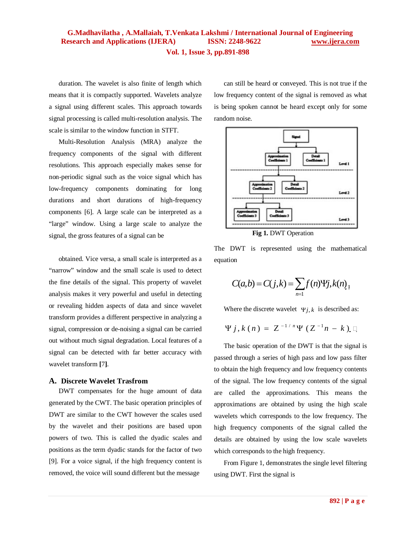duration. The wavelet is also finite of length which means that it is compactly supported. Wavelets analyze a signal using different scales. This approach towards signal processing is called multi-resolution analysis. The scale is similar to the window function in STFT.

Multi-Resolution Analysis (MRA) analyze the frequency components of the signal with different resolutions. This approach especially makes sense for non-periodic signal such as the voice signal which has low-frequency components dominating for long durations and short durations of high-frequency components [6]. A large scale can be interpreted as a "large" window. Using a large scale to analyze the signal, the gross features of a signal can be

obtained. Vice versa, a small scale is interpreted as a "narrow" window and the small scale is used to detect the fine details of the signal. This property of wavelet analysis makes it very powerful and useful in detecting or revealing hidden aspects of data and since wavelet transform provides a different perspective in analyzing a signal, compression or de-noising a signal can be carried out without much signal degradation. Local features of a signal can be detected with far better accuracy with wavelet transform **[**7**]**.

#### **A. Discrete Wavelet Trasfrom**

DWT compensates for the huge amount of data generated by the CWT. The basic operation principles of DWT are similar to the CWT however the scales used by the wavelet and their positions are based upon powers of two. This is called the dyadic scales and positions as the term dyadic stands for the factor of two [9]. For a voice signal, if the high frequency content is removed, the voice will sound different but the message

can still be heard or conveyed. This is not true if the low frequency content of the signal is removed as what is being spoken cannot be heard except only for some random noise.



**Fig 1.** DWT Operation

The DWT is represented using the mathematical equation

$$
C(a,b) = C(j,k) = \sum_{n=1}^{j} f(n) \Psi j, k(n)_{1}
$$

Where the discrete wavelet  $\Psi_{i,k}$  is described as:

$$
\Psi j, k(n) = Z^{-1/n} \Psi (Z^{-1}n - k) \square
$$

The basic operation of the DWT is that the signal is passed through a series of high pass and low pass filter to obtain the high frequency and low frequency contents of the signal. The low frequency contents of the signal are called the approximations. This means the approximations are obtained by using the high scale wavelets which corresponds to the low frequency. The high frequency components of the signal called the details are obtained by using the low scale wavelets which corresponds to the high frequency.

From Figure 1, demonstrates the single level filtering using DWT. First the signal is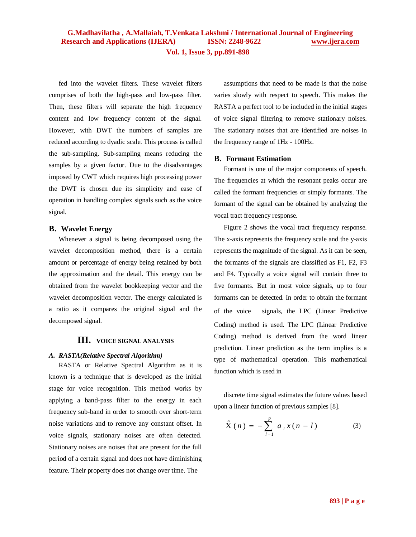**Vol. 1, Issue 3, pp.891-898**

fed into the wavelet filters. These wavelet filters comprises of both the high-pass and low-pass filter. Then, these filters will separate the high frequency content and low frequency content of the signal. However, with DWT the numbers of samples are reduced according to dyadic scale. This process is called the sub-sampling. Sub-sampling means reducing the samples by a given factor. Due to the disadvantages imposed by CWT which requires high processing power the DWT is chosen due its simplicity and ease of operation in handling complex signals such as the voice signal.

### **B. Wavelet Energy**

Whenever a signal is being decomposed using the wavelet decomposition method, there is a certain amount or percentage of energy being retained by both the approximation and the detail. This energy can be obtained from the wavelet bookkeeping vector and the wavelet decomposition vector. The energy calculated is a ratio as it compares the original signal and the decomposed signal.

### **III. VOICE SIGNAL ANALYSIS**

### *A. RASTA(Relative Spectral Algorithm)*

RASTA or Relative Spectral Algorithm as it is known is a technique that is developed as the initial stage for voice recognition. This method works by applying a band-pass filter to the energy in each frequency sub-band in order to smooth over short-term noise variations and to remove any constant offset. In voice signals, stationary noises are often detected. Stationary noises are noises that are present for the full period of a certain signal and does not have diminishing feature. Their property does not change over time. The

assumptions that need to be made is that the noise varies slowly with respect to speech. This makes the RASTA a perfect tool to be included in the initial stages of voice signal filtering to remove stationary noises. The stationary noises that are identified are noises in the frequency range of 1Hz - 100Hz.

### **B. Formant Estimation**

Formant is one of the major components of speech. The frequencies at which the resonant peaks occur are called the formant frequencies or simply formants. The formant of the signal can be obtained by analyzing the vocal tract frequency response.

Figure 2 shows the vocal tract frequency response. The x-axis represents the frequency scale and the y-axis represents the magnitude of the signal. As it can be seen, the formants of the signals are classified as F1, F2, F3 and F4. Typically a voice signal will contain three to five formants. But in most voice signals, up to four formants can be detected. In order to obtain the formant of the voice signals, the LPC (Linear Predictive Coding) method is used. The LPC (Linear Predictive Coding) method is derived from the word linear prediction. Linear prediction as the term implies is a type of mathematical operation. This mathematical function which is used in

discrete time signal estimates the future values based upon a linear function of previous samples [8].

$$
\hat{X}(n) = -\sum_{l=1}^{p} a_{l} x(n-l) \tag{3}
$$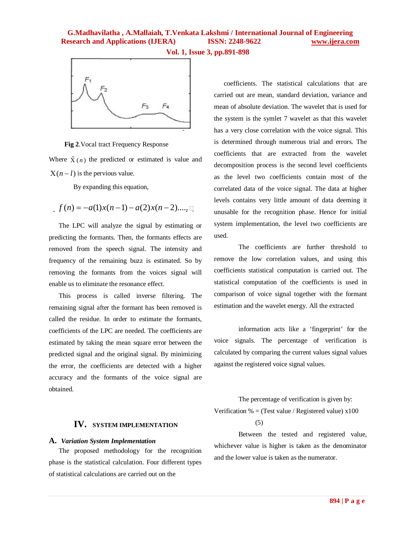## **G.Madhavilatha , A.Mallaiah, T.Venkata Lakshmi / International Journal of Engineering Research and Applications (IJERA) ISSN: 2248-9622 www.ijera.com**

**Vol. 1, Issue 3, pp.891-898**



 **Fig 2**.Vocal tract Frequency Response

Where  $\hat{X}(n)$  the predicted or estimated is value and  $X(n - l)$  is the pervious value.

By expanding this equation,

$$
f(n) = -a(1)x(n-1) - a(2)x(n-2)..., 1
$$

The LPC will analyze the signal by estimating or predicting the formants. Then, the formants effects are removed from the speech signal. The intensity and frequency of the remaining buzz is estimated. So by removing the formants from the voices signal will enable us to eliminate the resonance effect.

This process is called inverse filtering. The remaining signal after the formant has been removed is called the residue. In order to estimate the formants, coefficients of the LPC are needed. The coefficients are estimated by taking the mean square error between the predicted signal and the original signal. By minimizing the error, the coefficients are detected with a higher accuracy and the formants of the voice signal are obtained.

## **IV. SYSTEM IMPLEMENTATION**

#### **A.** *Variation System Implementation*

The proposed methodology for the recognition phase is the statistical calculation. Four different types of statistical calculations are carried out on the

coefficients. The statistical calculations that are carried out are mean, standard deviation, variance and mean of absolute deviation. The wavelet that is used for the system is the symlet 7 wavelet as that this wavelet has a very close correlation with the voice signal. This is determined through numerous trial and errors. The coefficients that are extracted from the wavelet decomposition process is the second level coefficients as the level two coefficients contain most of the correlated data of the voice signal. The data at higher levels contains very little amount of data deeming it unusable for the recognition phase. Hence for initial system implementation, the level two coefficients are used.

The coefficients are further threshold to remove the low correlation values, and using this coefficients statistical computation is carried out. The statistical computation of the coefficients is used in comparison of voice signal together with the formant estimation and the wavelet energy. All the extracted

information acts like a 'fingerprint' for the voice signals. The percentage of verification is calculated by comparing the current values signal values against the registered voice signal values.

The percentage of verification is given by: Verification % = (Test value / Registered value)  $x100$ 

(5)

Between the tested and registered value, whichever value is higher is taken as the denominator and the lower value is taken as the numerator.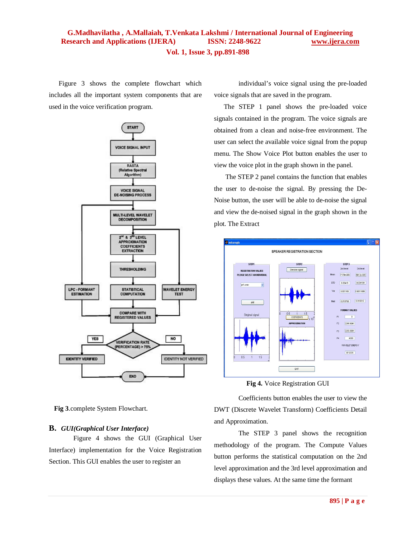# **G.Madhavilatha , A.Mallaiah, T.Venkata Lakshmi / International Journal of Engineering Research and Applications (IJERA) ISSN: 2248-9622 www.ijera.com**

**Vol. 1, Issue 3, pp.891-898**

Figure 3 shows the complete flowchart which includes all the important system components that are used in the voice verification program.



**Fig 3**.complete System Flowchart.

#### **B.** *GUI(Graphical User Interface)*

Figure 4 shows the GUI (Graphical User Interface) implementation for the Voice Registration Section. This GUI enables the user to register an

individual's voice signal using the pre-loaded voice signals that are saved in the program.

The STEP 1 panel shows the pre-loaded voice signals contained in the program. The voice signals are obtained from a clean and noise-free environment. The user can select the available voice signal from the popup menu. The Show Voice Plot button enables the user to view the voice plot in the graph shown in the panel.

The STEP 2 panel contains the function that enables the user to de-noise the signal. By pressing the De-Noise button, the user will be able to de-noise the signal and view the de-noised signal in the graph shown in the plot. The Extract



**Fig 4.** Voice Registration GUI

Coefficients button enables the user to view the DWT (Discrete Wavelet Transform) Coefficients Detail and Approximation.

The STEP 3 panel shows the recognition methodology of the program. The Compute Values button performs the statistical computation on the 2nd level approximation and the 3rd level approximation and displays these values. At the same time the formant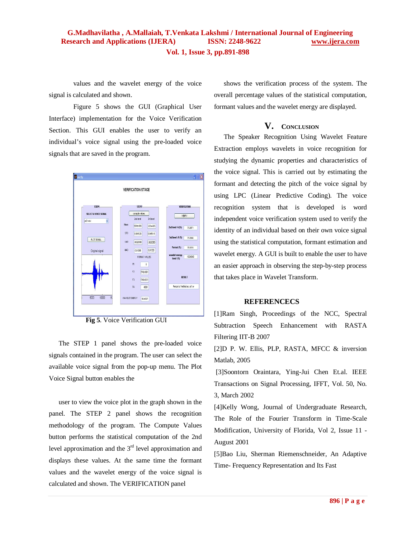values and the wavelet energy of the voice signal is calculated and shown.

Figure 5 shows the GUI (Graphical User Interface) implementation for the Voice Verification Section. This GUI enables the user to verify an individual's voice signal using the pre-loaded voice signals that are saved in the program.



**Fig 5**. Voice Verification GUI

The STEP 1 panel shows the pre-loaded voice signals contained in the program. The user can select the available voice signal from the pop-up menu. The Plot Voice Signal button enables the

user to view the voice plot in the graph shown in the panel. The STEP 2 panel shows the recognition methodology of the program. The Compute Values button performs the statistical computation of the 2nd level approximation and the  $3<sup>rd</sup>$  level approximation and displays these values. At the same time the formant values and the wavelet energy of the voice signal is calculated and shown. The VERIFICATION panel

shows the verification process of the system. The overall percentage values of the statistical computation, formant values and the wavelet energy are displayed.

## **V. CONCLUSION**

The Speaker Recognition Using Wavelet Feature Extraction employs wavelets in voice recognition for studying the dynamic properties and characteristics of the voice signal. This is carried out by estimating the formant and detecting the pitch of the voice signal by using LPC (Linear Predictive Coding). The voice recognition system that is developed is word independent voice verification system used to verify the identity of an individual based on their own voice signal using the statistical computation, formant estimation and wavelet energy. A GUI is built to enable the user to have an easier approach in observing the step-by-step process that takes place in Wavelet Transform.

### **REFERENCECS**

[1]Ram Singh, Proceedings of the NCC, Spectral Subtraction Speech Enhancement with RASTA Filtering IIT-B 2007

[2]D P. W. Ellis, PLP, RASTA, MFCC & inversion Matlab, 2005

[3]Soontorn Oraintara, Ying-Jui Chen Et.al. IEEE Transactions on Signal Processing, IFFT, Vol. 50, No. 3, March 2002

[4]Kelly Wong, Journal of Undergraduate Research, The Role of the Fourier Transform in Time-Scale Modification, University of Florida, Vol 2, Issue 11 - August 2001

[5]Bao Liu, Sherman Riemenschneider, An Adaptive Time- Frequency Representation and Its Fast